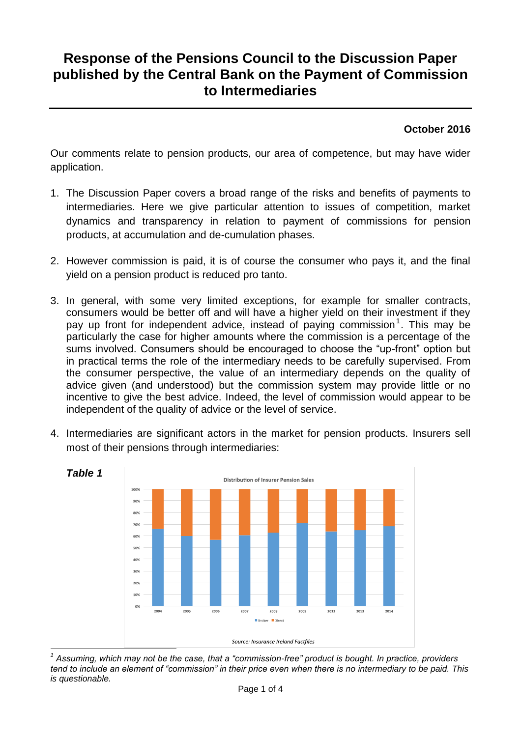## **Response of the Pensions Council to the Discussion Paper published by the Central Bank on the Payment of Commission to Intermediaries**

## **October 2016**

Our comments relate to pension products, our area of competence, but may have wider application.

- 1. The Discussion Paper covers a broad range of the risks and benefits of payments to intermediaries. Here we give particular attention to issues of competition, market dynamics and transparency in relation to payment of commissions for pension products, at accumulation and de-cumulation phases.
- 2. However commission is paid, it is of course the consumer who pays it, and the final yield on a pension product is reduced pro tanto.
- 3. In general, with some very limited exceptions, for example for smaller contracts, consumers would be better off and will have a higher yield on their investment if they pay up front for independent advice, instead of paying commission<sup>1</sup>. This may be particularly the case for higher amounts where the commission is a percentage of the sums involved. Consumers should be encouraged to choose the "up-front" option but in practical terms the role of the intermediary needs to be carefully supervised. From the consumer perspective, the value of an intermediary depends on the quality of advice given (and understood) but the commission system may provide little or no incentive to give the best advice. Indeed, the level of commission would appear to be independent of the quality of advice or the level of service.
- 4. Intermediaries are significant actors in the market for pension products. Insurers sell most of their pensions through intermediaries:



 $\overline{a}$ *1 Assuming, which may not be the case, that a "commission-free" product is bought. In practice, providers tend to include an element of "commission" in their price even when there is no intermediary to be paid. This is questionable.*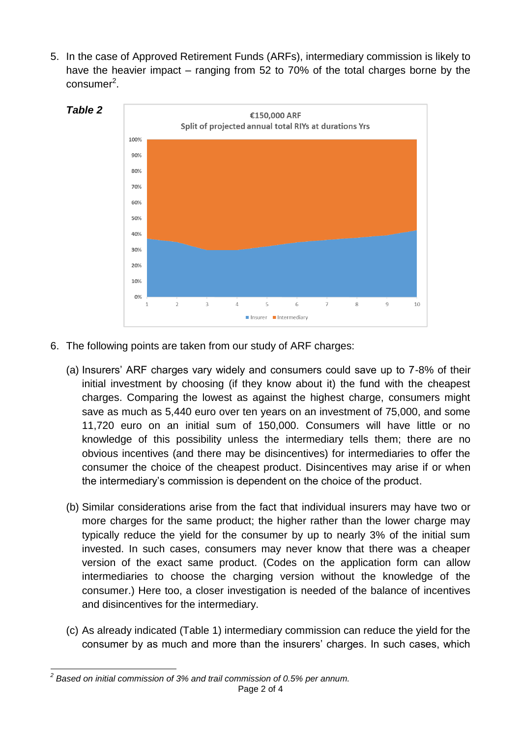5. In the case of Approved Retirement Funds (ARFs), intermediary commission is likely to have the heavier impact – ranging from 52 to 70% of the total charges borne by the consumer<sup>2</sup>.



- 6. The following points are taken from our study of ARF charges:
	- (a) Insurers' ARF charges vary widely and consumers could save up to 7-8% of their initial investment by choosing (if they know about it) the fund with the cheapest charges. Comparing the lowest as against the highest charge, consumers might save as much as 5,440 euro over ten years on an investment of 75,000, and some 11,720 euro on an initial sum of 150,000. Consumers will have little or no knowledge of this possibility unless the intermediary tells them; there are no obvious incentives (and there may be disincentives) for intermediaries to offer the consumer the choice of the cheapest product. Disincentives may arise if or when the intermediary's commission is dependent on the choice of the product.
	- (b) Similar considerations arise from the fact that individual insurers may have two or more charges for the same product; the higher rather than the lower charge may typically reduce the yield for the consumer by up to nearly 3% of the initial sum invested. In such cases, consumers may never know that there was a cheaper version of the exact same product. (Codes on the application form can allow intermediaries to choose the charging version without the knowledge of the consumer.) Here too, a closer investigation is needed of the balance of incentives and disincentives for the intermediary.
	- (c) As already indicated (Table 1) intermediary commission can reduce the yield for the consumer by as much and more than the insurers' charges. In such cases, which

 *2 Based on initial commission of 3% and trail commission of 0.5% per annum.*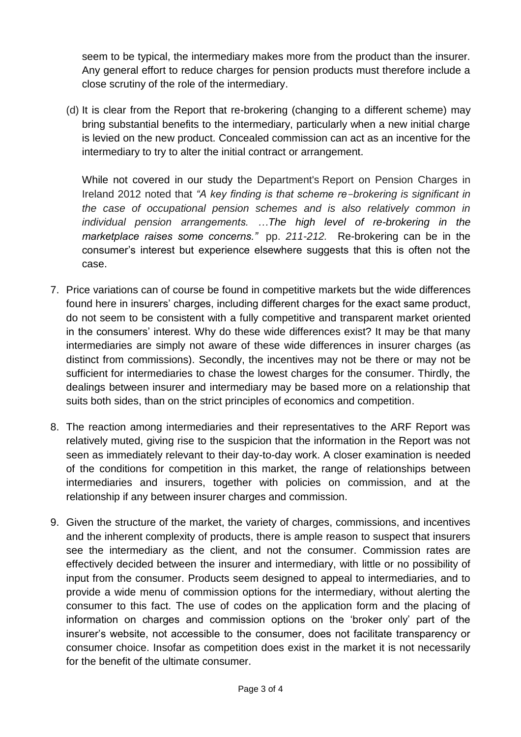seem to be typical, the intermediary makes more from the product than the insurer. Any general effort to reduce charges for pension products must therefore include a close scrutiny of the role of the intermediary.

(d) It is clear from the Report that re-brokering (changing to a different scheme) may bring substantial benefits to the intermediary, particularly when a new initial charge is levied on the new product. Concealed commission can act as an incentive for the intermediary to try to alter the initial contract or arrangement.

While not covered in our study the Department's Report on Pension Charges in Ireland 2012 noted that *"A key finding is that scheme re-brokering is significant in the case of occupational pension schemes and is also relatively common in individual pension arrangements. …The high level of re-brokering in the marketplace raises some concerns."* pp. *211-212.* Re-brokering can be in the consumer's interest but experience elsewhere suggests that this is often not the case.

- 7. Price variations can of course be found in competitive markets but the wide differences found here in insurers' charges, including different charges for the exact same product, do not seem to be consistent with a fully competitive and transparent market oriented in the consumers' interest. Why do these wide differences exist? It may be that many intermediaries are simply not aware of these wide differences in insurer charges (as distinct from commissions). Secondly, the incentives may not be there or may not be sufficient for intermediaries to chase the lowest charges for the consumer. Thirdly, the dealings between insurer and intermediary may be based more on a relationship that suits both sides, than on the strict principles of economics and competition.
- 8. The reaction among intermediaries and their representatives to the ARF Report was relatively muted, giving rise to the suspicion that the information in the Report was not seen as immediately relevant to their day-to-day work. A closer examination is needed of the conditions for competition in this market, the range of relationships between intermediaries and insurers, together with policies on commission, and at the relationship if any between insurer charges and commission.
- 9. Given the structure of the market, the variety of charges, commissions, and incentives and the inherent complexity of products, there is ample reason to suspect that insurers see the intermediary as the client, and not the consumer. Commission rates are effectively decided between the insurer and intermediary, with little or no possibility of input from the consumer. Products seem designed to appeal to intermediaries, and to provide a wide menu of commission options for the intermediary, without alerting the consumer to this fact. The use of codes on the application form and the placing of information on charges and commission options on the 'broker only' part of the insurer's website, not accessible to the consumer, does not facilitate transparency or consumer choice. Insofar as competition does exist in the market it is not necessarily for the benefit of the ultimate consumer.